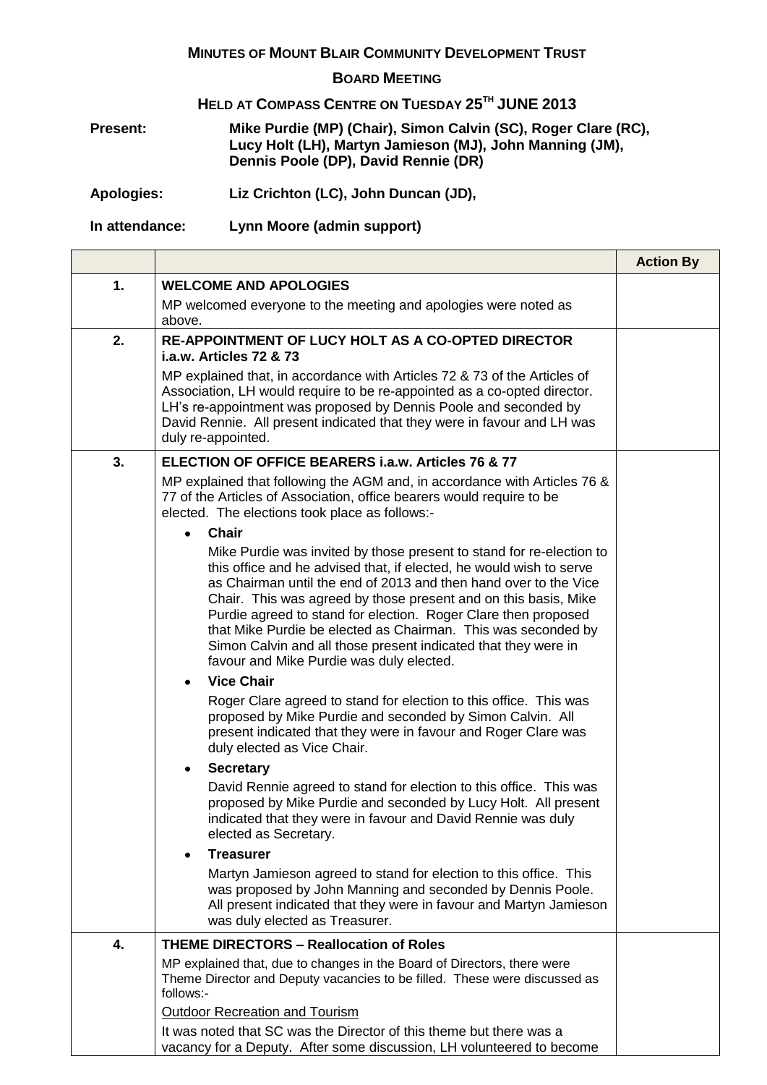## **MINUTES OF MOUNT BLAIR COMMUNITY DEVELOPMENT TRUST**

## **BOARD MEETING**

## **HELD AT COMPASS CENTRE ON TUESDAY 25TH JUNE 2013**

**Present: Mike Purdie (MP) (Chair), Simon Calvin (SC), Roger Clare (RC), Lucy Holt (LH), Martyn Jamieson (MJ), John Manning (JM), Dennis Poole (DP), David Rennie (DR)**

**Apologies: Liz Crichton (LC), John Duncan (JD),** 

**In attendance: Lynn Moore (admin support)**

|    |                                                                                                                                                                                                                                                                                                                                                                                                                                                                                                                                     | <b>Action By</b> |
|----|-------------------------------------------------------------------------------------------------------------------------------------------------------------------------------------------------------------------------------------------------------------------------------------------------------------------------------------------------------------------------------------------------------------------------------------------------------------------------------------------------------------------------------------|------------------|
| 1. | <b>WELCOME AND APOLOGIES</b>                                                                                                                                                                                                                                                                                                                                                                                                                                                                                                        |                  |
|    | MP welcomed everyone to the meeting and apologies were noted as                                                                                                                                                                                                                                                                                                                                                                                                                                                                     |                  |
|    | above.                                                                                                                                                                                                                                                                                                                                                                                                                                                                                                                              |                  |
| 2. | <b>RE-APPOINTMENT OF LUCY HOLT AS A CO-OPTED DIRECTOR</b><br>i.a.w. Articles 72 & 73                                                                                                                                                                                                                                                                                                                                                                                                                                                |                  |
|    | MP explained that, in accordance with Articles 72 & 73 of the Articles of<br>Association, LH would require to be re-appointed as a co-opted director.<br>LH's re-appointment was proposed by Dennis Poole and seconded by<br>David Rennie. All present indicated that they were in favour and LH was<br>duly re-appointed.                                                                                                                                                                                                          |                  |
| 3. | <b>ELECTION OF OFFICE BEARERS i.a.w. Articles 76 &amp; 77</b>                                                                                                                                                                                                                                                                                                                                                                                                                                                                       |                  |
|    | MP explained that following the AGM and, in accordance with Articles 76 &<br>77 of the Articles of Association, office bearers would require to be<br>elected. The elections took place as follows:-<br><b>Chair</b><br>$\bullet$                                                                                                                                                                                                                                                                                                   |                  |
|    | Mike Purdie was invited by those present to stand for re-election to<br>this office and he advised that, if elected, he would wish to serve<br>as Chairman until the end of 2013 and then hand over to the Vice<br>Chair. This was agreed by those present and on this basis, Mike<br>Purdie agreed to stand for election. Roger Clare then proposed<br>that Mike Purdie be elected as Chairman. This was seconded by<br>Simon Calvin and all those present indicated that they were in<br>favour and Mike Purdie was duly elected. |                  |
|    | <b>Vice Chair</b><br>$\bullet$                                                                                                                                                                                                                                                                                                                                                                                                                                                                                                      |                  |
|    | Roger Clare agreed to stand for election to this office. This was<br>proposed by Mike Purdie and seconded by Simon Calvin. All<br>present indicated that they were in favour and Roger Clare was<br>duly elected as Vice Chair.                                                                                                                                                                                                                                                                                                     |                  |
|    | <b>Secretary</b><br>٠                                                                                                                                                                                                                                                                                                                                                                                                                                                                                                               |                  |
|    | David Rennie agreed to stand for election to this office. This was<br>proposed by Mike Purdie and seconded by Lucy Holt. All present<br>indicated that they were in favour and David Rennie was duly<br>elected as Secretary.                                                                                                                                                                                                                                                                                                       |                  |
|    | <b>Treasurer</b>                                                                                                                                                                                                                                                                                                                                                                                                                                                                                                                    |                  |
|    | Martyn Jamieson agreed to stand for election to this office. This<br>was proposed by John Manning and seconded by Dennis Poole.<br>All present indicated that they were in favour and Martyn Jamieson<br>was duly elected as Treasurer.                                                                                                                                                                                                                                                                                             |                  |
| 4. | <b>THEME DIRECTORS - Reallocation of Roles</b>                                                                                                                                                                                                                                                                                                                                                                                                                                                                                      |                  |
|    | MP explained that, due to changes in the Board of Directors, there were<br>Theme Director and Deputy vacancies to be filled. These were discussed as<br>follows:-                                                                                                                                                                                                                                                                                                                                                                   |                  |
|    | <b>Outdoor Recreation and Tourism</b>                                                                                                                                                                                                                                                                                                                                                                                                                                                                                               |                  |
|    | It was noted that SC was the Director of this theme but there was a<br>vacancy for a Deputy. After some discussion, LH volunteered to become                                                                                                                                                                                                                                                                                                                                                                                        |                  |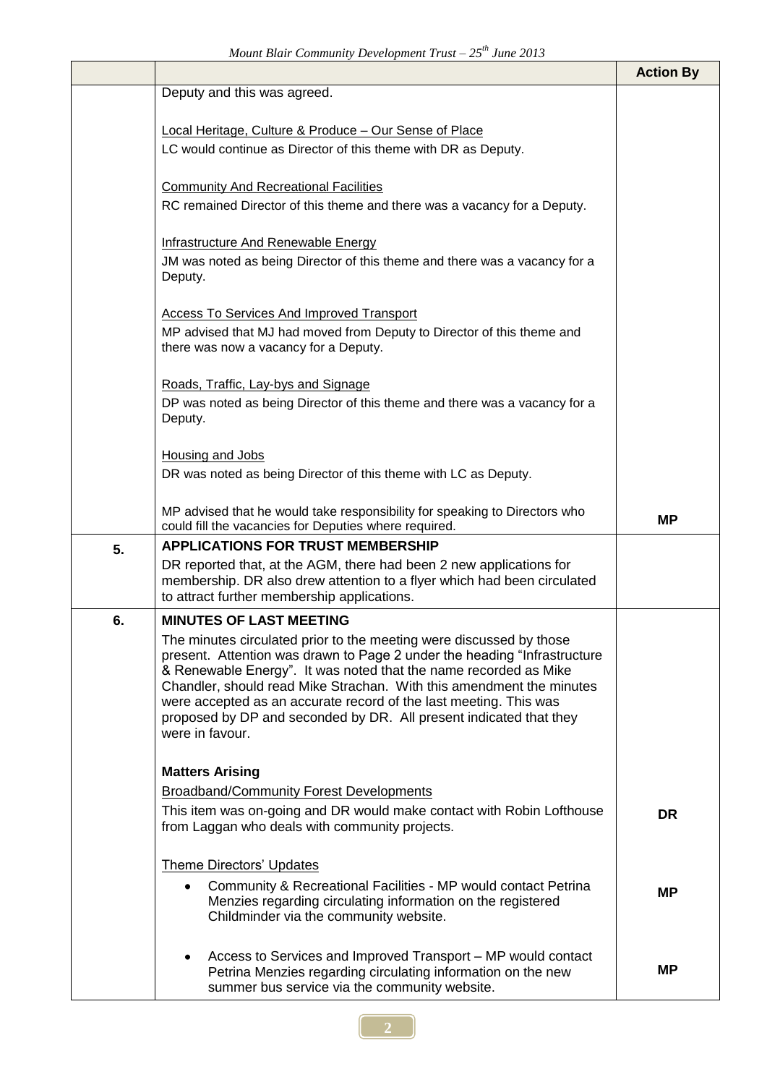|    | momm Bian Community Bevelopment Trust Lo Cuite Lore                                                                                             | <b>Action By</b> |
|----|-------------------------------------------------------------------------------------------------------------------------------------------------|------------------|
|    | Deputy and this was agreed.                                                                                                                     |                  |
|    | Local Heritage, Culture & Produce - Our Sense of Place                                                                                          |                  |
|    | LC would continue as Director of this theme with DR as Deputy.                                                                                  |                  |
|    |                                                                                                                                                 |                  |
|    | <b>Community And Recreational Facilities</b>                                                                                                    |                  |
|    | RC remained Director of this theme and there was a vacancy for a Deputy.                                                                        |                  |
|    | Infrastructure And Renewable Energy                                                                                                             |                  |
|    | JM was noted as being Director of this theme and there was a vacancy for a                                                                      |                  |
|    | Deputy.                                                                                                                                         |                  |
|    | <b>Access To Services And Improved Transport</b>                                                                                                |                  |
|    | MP advised that MJ had moved from Deputy to Director of this theme and                                                                          |                  |
|    | there was now a vacancy for a Deputy.                                                                                                           |                  |
|    | Roads, Traffic, Lay-bys and Signage                                                                                                             |                  |
|    | DP was noted as being Director of this theme and there was a vacancy for a                                                                      |                  |
|    | Deputy.                                                                                                                                         |                  |
|    | Housing and Jobs                                                                                                                                |                  |
|    | DR was noted as being Director of this theme with LC as Deputy.                                                                                 |                  |
|    | MP advised that he would take responsibility for speaking to Directors who                                                                      |                  |
|    | could fill the vacancies for Deputies where required.                                                                                           | <b>MP</b>        |
| 5. | <b>APPLICATIONS FOR TRUST MEMBERSHIP</b>                                                                                                        |                  |
|    | DR reported that, at the AGM, there had been 2 new applications for<br>membership. DR also drew attention to a flyer which had been circulated  |                  |
|    | to attract further membership applications.                                                                                                     |                  |
| 6. | <b>MINUTES OF LAST MEETING</b>                                                                                                                  |                  |
|    | The minutes circulated prior to the meeting were discussed by those<br>present. Attention was drawn to Page 2 under the heading "Infrastructure |                  |
|    | & Renewable Energy". It was noted that the name recorded as Mike                                                                                |                  |
|    | Chandler, should read Mike Strachan. With this amendment the minutes<br>were accepted as an accurate record of the last meeting. This was       |                  |
|    | proposed by DP and seconded by DR. All present indicated that they                                                                              |                  |
|    | were in favour.                                                                                                                                 |                  |
|    | <b>Matters Arising</b>                                                                                                                          |                  |
|    | <b>Broadband/Community Forest Developments</b>                                                                                                  |                  |
|    | This item was on-going and DR would make contact with Robin Lofthouse                                                                           | <b>DR</b>        |
|    | from Laggan who deals with community projects.                                                                                                  |                  |
|    | <b>Theme Directors' Updates</b>                                                                                                                 |                  |
|    | Community & Recreational Facilities - MP would contact Petrina<br>٠                                                                             | <b>MP</b>        |
|    | Menzies regarding circulating information on the registered                                                                                     |                  |
|    | Childminder via the community website.                                                                                                          |                  |
|    | Access to Services and Improved Transport - MP would contact<br>٠                                                                               |                  |
|    | Petrina Menzies regarding circulating information on the new<br>summer bus service via the community website.                                   | <b>MP</b>        |
|    |                                                                                                                                                 |                  |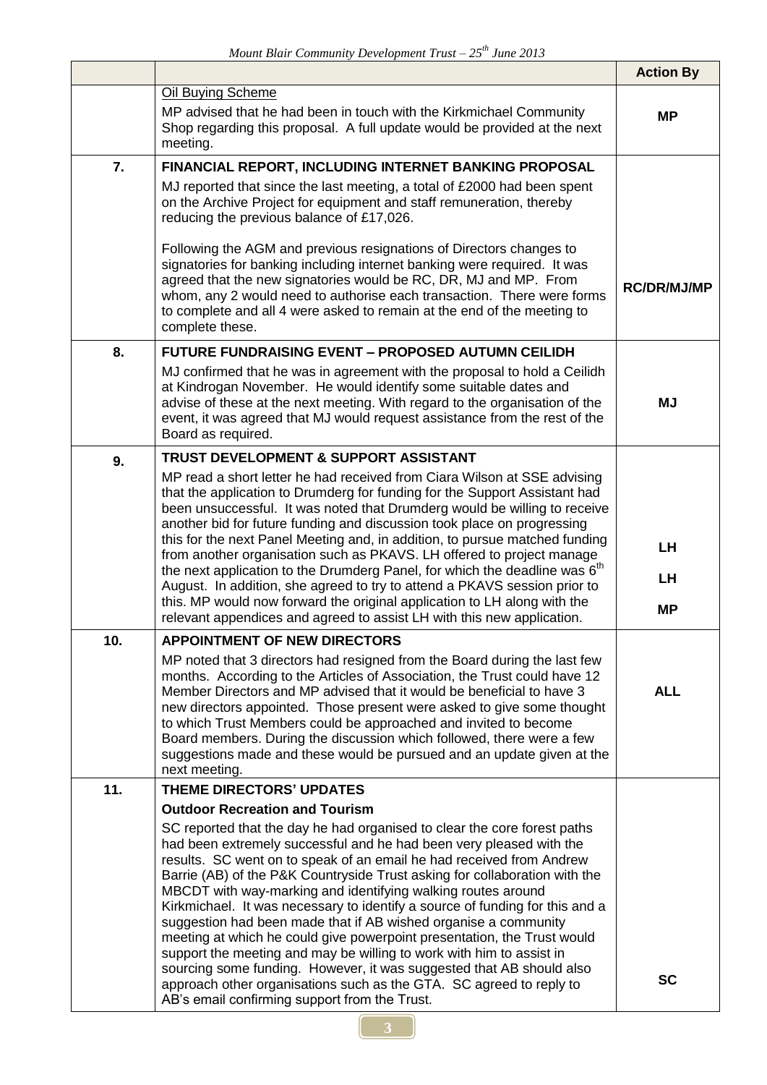|     |                                                                                                                                                                                                                                                                                                                                                                                                                                                                                                                                                                                                                                                                             | <b>Action By</b>   |
|-----|-----------------------------------------------------------------------------------------------------------------------------------------------------------------------------------------------------------------------------------------------------------------------------------------------------------------------------------------------------------------------------------------------------------------------------------------------------------------------------------------------------------------------------------------------------------------------------------------------------------------------------------------------------------------------------|--------------------|
|     | Oil Buying Scheme<br>MP advised that he had been in touch with the Kirkmichael Community<br>Shop regarding this proposal. A full update would be provided at the next<br>meeting.                                                                                                                                                                                                                                                                                                                                                                                                                                                                                           | <b>MP</b>          |
| 7.  | FINANCIAL REPORT, INCLUDING INTERNET BANKING PROPOSAL<br>MJ reported that since the last meeting, a total of £2000 had been spent<br>on the Archive Project for equipment and staff remuneration, thereby<br>reducing the previous balance of £17,026.<br>Following the AGM and previous resignations of Directors changes to                                                                                                                                                                                                                                                                                                                                               |                    |
|     | signatories for banking including internet banking were required. It was<br>agreed that the new signatories would be RC, DR, MJ and MP. From<br>whom, any 2 would need to authorise each transaction. There were forms<br>to complete and all 4 were asked to remain at the end of the meeting to<br>complete these.                                                                                                                                                                                                                                                                                                                                                        | <b>RC/DR/MJ/MP</b> |
| 8.  | <b>FUTURE FUNDRAISING EVENT - PROPOSED AUTUMN CEILIDH</b>                                                                                                                                                                                                                                                                                                                                                                                                                                                                                                                                                                                                                   |                    |
|     | MJ confirmed that he was in agreement with the proposal to hold a Ceilidh<br>at Kindrogan November. He would identify some suitable dates and<br>advise of these at the next meeting. With regard to the organisation of the<br>event, it was agreed that MJ would request assistance from the rest of the<br>Board as required.                                                                                                                                                                                                                                                                                                                                            | <b>MJ</b>          |
| 9.  | TRUST DEVELOPMENT & SUPPORT ASSISTANT                                                                                                                                                                                                                                                                                                                                                                                                                                                                                                                                                                                                                                       |                    |
|     | MP read a short letter he had received from Ciara Wilson at SSE advising<br>that the application to Drumderg for funding for the Support Assistant had<br>been unsuccessful. It was noted that Drumderg would be willing to receive<br>another bid for future funding and discussion took place on progressing                                                                                                                                                                                                                                                                                                                                                              |                    |
|     | this for the next Panel Meeting and, in addition, to pursue matched funding<br>from another organisation such as PKAVS. LH offered to project manage                                                                                                                                                                                                                                                                                                                                                                                                                                                                                                                        | LH                 |
|     | the next application to the Drumderg Panel, for which the deadline was 6 <sup>th</sup>                                                                                                                                                                                                                                                                                                                                                                                                                                                                                                                                                                                      | LH                 |
|     | August. In addition, she agreed to try to attend a PKAVS session prior to<br>this. MP would now forward the original application to LH along with the<br>relevant appendices and agreed to assist LH with this new application.                                                                                                                                                                                                                                                                                                                                                                                                                                             | <b>MP</b>          |
| 10. | <b>APPOINTMENT OF NEW DIRECTORS</b>                                                                                                                                                                                                                                                                                                                                                                                                                                                                                                                                                                                                                                         |                    |
|     | MP noted that 3 directors had resigned from the Board during the last few<br>months. According to the Articles of Association, the Trust could have 12<br>Member Directors and MP advised that it would be beneficial to have 3<br>new directors appointed. Those present were asked to give some thought<br>to which Trust Members could be approached and invited to become<br>Board members. During the discussion which followed, there were a few<br>suggestions made and these would be pursued and an update given at the<br>next meeting.                                                                                                                           | <b>ALL</b>         |
| 11. | THEME DIRECTORS' UPDATES                                                                                                                                                                                                                                                                                                                                                                                                                                                                                                                                                                                                                                                    |                    |
|     | <b>Outdoor Recreation and Tourism</b>                                                                                                                                                                                                                                                                                                                                                                                                                                                                                                                                                                                                                                       |                    |
|     | SC reported that the day he had organised to clear the core forest paths<br>had been extremely successful and he had been very pleased with the<br>results. SC went on to speak of an email he had received from Andrew<br>Barrie (AB) of the P&K Countryside Trust asking for collaboration with the<br>MBCDT with way-marking and identifying walking routes around<br>Kirkmichael. It was necessary to identify a source of funding for this and a<br>suggestion had been made that if AB wished organise a community<br>meeting at which he could give powerpoint presentation, the Trust would<br>support the meeting and may be willing to work with him to assist in |                    |
|     | sourcing some funding. However, it was suggested that AB should also<br>approach other organisations such as the GTA. SC agreed to reply to<br>AB's email confirming support from the Trust.                                                                                                                                                                                                                                                                                                                                                                                                                                                                                | <b>SC</b>          |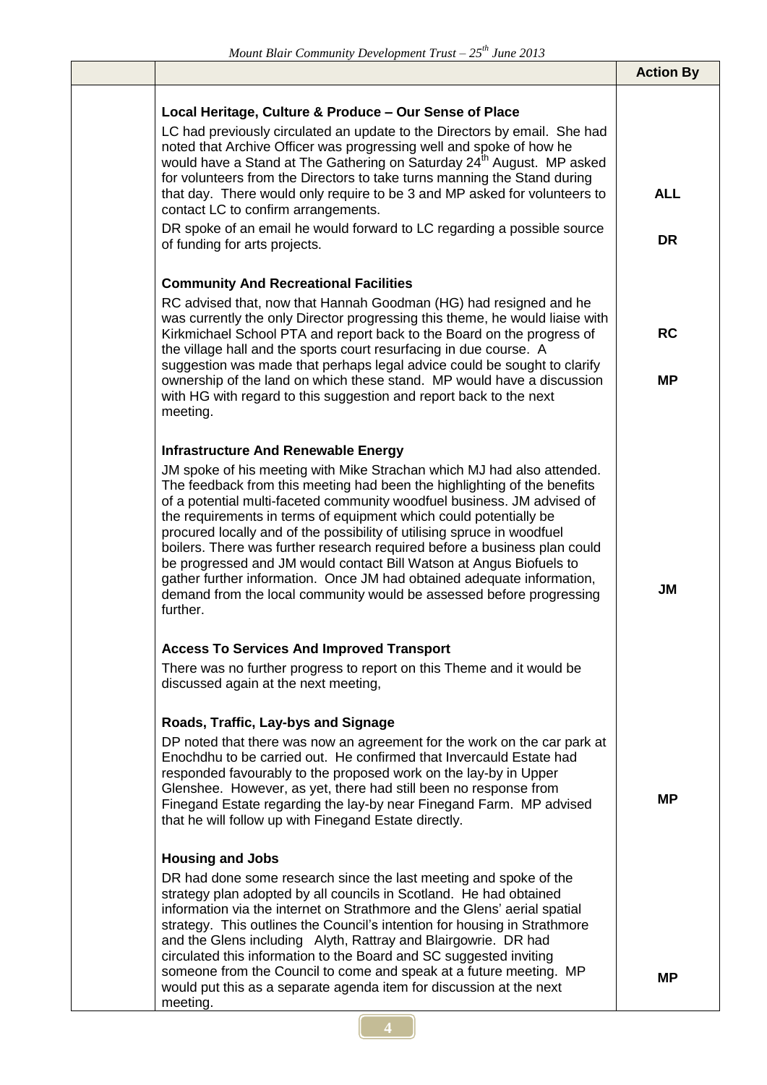|                                                                                                                                                                                                                                                                                                                                                                                                                                                                                                                                                                                                                                                                                                                                               | <b>Action By</b> |
|-----------------------------------------------------------------------------------------------------------------------------------------------------------------------------------------------------------------------------------------------------------------------------------------------------------------------------------------------------------------------------------------------------------------------------------------------------------------------------------------------------------------------------------------------------------------------------------------------------------------------------------------------------------------------------------------------------------------------------------------------|------------------|
| Local Heritage, Culture & Produce - Our Sense of Place<br>LC had previously circulated an update to the Directors by email. She had<br>noted that Archive Officer was progressing well and spoke of how he<br>would have a Stand at The Gathering on Saturday 24 <sup>th</sup> August. MP asked<br>for volunteers from the Directors to take turns manning the Stand during<br>that day. There would only require to be 3 and MP asked for volunteers to                                                                                                                                                                                                                                                                                      | <b>ALL</b>       |
| contact LC to confirm arrangements.<br>DR spoke of an email he would forward to LC regarding a possible source<br>of funding for arts projects.                                                                                                                                                                                                                                                                                                                                                                                                                                                                                                                                                                                               | <b>DR</b>        |
| <b>Community And Recreational Facilities</b><br>RC advised that, now that Hannah Goodman (HG) had resigned and he                                                                                                                                                                                                                                                                                                                                                                                                                                                                                                                                                                                                                             |                  |
| was currently the only Director progressing this theme, he would liaise with<br>Kirkmichael School PTA and report back to the Board on the progress of<br>the village hall and the sports court resurfacing in due course. A                                                                                                                                                                                                                                                                                                                                                                                                                                                                                                                  | <b>RC</b>        |
| suggestion was made that perhaps legal advice could be sought to clarify<br>ownership of the land on which these stand. MP would have a discussion<br>with HG with regard to this suggestion and report back to the next<br>meeting.                                                                                                                                                                                                                                                                                                                                                                                                                                                                                                          | MР               |
| <b>Infrastructure And Renewable Energy</b><br>JM spoke of his meeting with Mike Strachan which MJ had also attended.<br>The feedback from this meeting had been the highlighting of the benefits<br>of a potential multi-faceted community woodfuel business. JM advised of<br>the requirements in terms of equipment which could potentially be<br>procured locally and of the possibility of utilising spruce in woodfuel<br>boilers. There was further research required before a business plan could<br>be progressed and JM would contact Bill Watson at Angus Biofuels to<br>gather further information. Once JM had obtained adequate information,<br>demand from the local community would be assessed before progressing<br>further. | <b>JM</b>        |
| <b>Access To Services And Improved Transport</b><br>There was no further progress to report on this Theme and it would be<br>discussed again at the next meeting,                                                                                                                                                                                                                                                                                                                                                                                                                                                                                                                                                                             |                  |
| Roads, Traffic, Lay-bys and Signage<br>DP noted that there was now an agreement for the work on the car park at<br>Enochdhu to be carried out. He confirmed that Invercauld Estate had<br>responded favourably to the proposed work on the lay-by in Upper<br>Glenshee. However, as yet, there had still been no response from<br>Finegand Estate regarding the lay-by near Finegand Farm. MP advised<br>that he will follow up with Finegand Estate directly.                                                                                                                                                                                                                                                                                | MР               |
| <b>Housing and Jobs</b><br>DR had done some research since the last meeting and spoke of the<br>strategy plan adopted by all councils in Scotland. He had obtained<br>information via the internet on Strathmore and the Glens' aerial spatial<br>strategy. This outlines the Council's intention for housing in Strathmore<br>and the Glens including Alyth, Rattray and Blairgowrie. DR had<br>circulated this information to the Board and SC suggested inviting                                                                                                                                                                                                                                                                           |                  |
| someone from the Council to come and speak at a future meeting. MP<br>would put this as a separate agenda item for discussion at the next<br>meeting.                                                                                                                                                                                                                                                                                                                                                                                                                                                                                                                                                                                         | <b>MP</b>        |